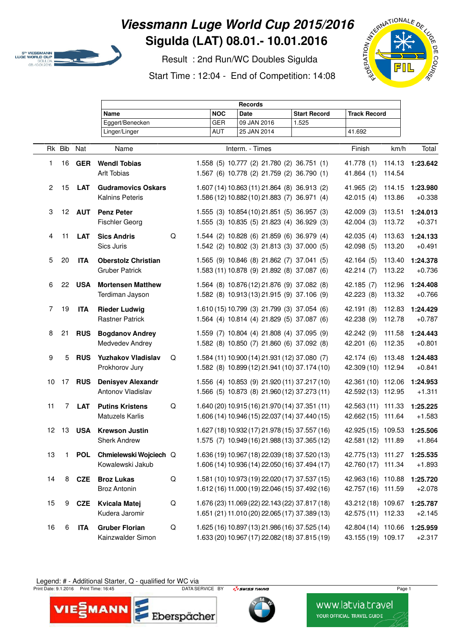

## **Viessmann Luge World Cup 2015/2016 Sigulda (LAT) 08.01.- 10.01.2016**

 Result : 2nd Run/WC Doubles Sigulda Start Time : 12:04 - End of Competition: 14:08



|              |                 |            | <b>Records</b>             |   |            |                                                |                     |                     |        |                 |
|--------------|-----------------|------------|----------------------------|---|------------|------------------------------------------------|---------------------|---------------------|--------|-----------------|
|              |                 |            | Name                       |   | <b>NOC</b> | <b>Date</b>                                    | <b>Start Record</b> | <b>Track Record</b> |        |                 |
|              |                 |            | Eggert/Benecken            |   | <b>GER</b> | 09 JAN 2016                                    | 1.525               |                     |        |                 |
|              |                 |            | Linger/Linger              |   | <b>AUT</b> | 25 JAN 2014                                    |                     | 41.692              |        |                 |
|              | Rk Bib          | Nat        | Name                       |   |            | Interm. - Times                                | Finish              | km/h                | Total  |                 |
| 1.           |                 | 16 GER     | <b>Wendl Tobias</b>        |   |            | 1.558 (5) 10.777 (2) 21.780 (2) 36.751 (1)     |                     | 41.778 (1)          |        | 114.13 1:23.642 |
|              |                 |            | <b>Arlt Tobias</b>         |   |            | 1.567 (6) 10.778 (2) 21.759 (2) 36.790 (1)     |                     | 41.864(1)           | 114.54 |                 |
| $\mathbf{2}$ | 15              | <b>LAT</b> | <b>Gudramovics Oskars</b>  |   |            | 1.607 (14) 10.863 (11) 21.864 (8) 36.913 (2)   |                     | 41.965 (2)          | 114.15 | 1:23.980        |
|              |                 |            | Kalnins Peteris            |   |            | 1.586 (12) 10.882 (10) 21.883 (7) 36.971 (4)   |                     | 42.015(4)           | 113.86 | $+0.338$        |
| 3            | 12 <sup>2</sup> | <b>AUT</b> | <b>Penz Peter</b>          |   |            | 1.555 (3) 10.854 (10) 21.851 (5) 36.957 (3)    |                     | 42.009 (3)          | 113.51 | 1:24.013        |
|              |                 |            | <b>Fischler Georg</b>      |   |            | 1.555 (3) 10.835 (5) 21.823 (4) 36.929 (3)     |                     | 42.004 (3)          | 113.72 | $+0.371$        |
| 4            | 11              | <b>LAT</b> | <b>Sics Andris</b>         | Q |            | 1.544 (2) 10.828 (6) 21.859 (6) 36.979 (4)     |                     | 42.035(4)           | 113.63 | 1:24.133        |
|              |                 |            | Sics Juris                 |   |            | 1.542 (2) 10.802 (3) 21.813 (3) 37.000 (5)     |                     | 42.098 (5)          | 113.20 | $+0.491$        |
| 5            | 20              | <b>ITA</b> | <b>Oberstolz Christian</b> |   |            | 1.565 (9) 10.846 (8) 21.862 (7) 37.041 (5)     |                     | 42.164(5)           | 113.40 | 1:24.378        |
|              |                 |            | <b>Gruber Patrick</b>      |   |            | 1.583 (11) 10.878 (9) 21.892 (8) 37.087 (6)    |                     | 42.214 (7)          | 113.22 | $+0.736$        |
| 6            | 22              | <b>USA</b> | <b>Mortensen Matthew</b>   |   |            | 1.564 (8) 10.876 (12) 21.876 (9) 37.082 (8)    |                     | 42.185 (7)          | 112.96 | 1:24.408        |
|              |                 |            | Terdiman Jayson            |   |            | 1.582 (8) 10.913 (13) 21.915 (9) 37.106 (9)    |                     | 42.223 (8)          | 113.32 | $+0.766$        |
| 7            | 19              | <b>ITA</b> | <b>Rieder Ludwig</b>       |   |            | 1.610 (15) 10.799 (3) 21.799 (3) 37.054 (6)    |                     | 42.191 (8)          | 112.83 | 1:24.429        |
|              |                 |            | <b>Rastner Patrick</b>     |   |            | 1.564 (4) 10.814 (4) 21.829 (5) 37.087 (6)     |                     | 42.238 (9)          | 112.78 | $+0.787$        |
| 8            | 21              | <b>RUS</b> | <b>Bogdanov Andrey</b>     |   |            | 1.559 (7) 10.804 (4) 21.808 (4) 37.095 (9)     |                     | 42.242 (9)          | 111.58 | 1:24.443        |
|              |                 |            | Medvedev Andrey            |   |            | 1.582 (8) 10.850 (7) 21.860 (6) 37.092 (8)     |                     | 42.201 (6)          | 112.35 | $+0.801$        |
| 9            | 5               | <b>RUS</b> | <b>Yuzhakov Vladislav</b>  | Q |            | 1.584 (11) 10.900 (14) 21.931 (12) 37.080 (7)  |                     | 42.174 (6)          | 113.48 | 1:24.483        |
|              |                 |            | Prokhorov Jury             |   |            | 1.582 (8) 10.899 (12) 21.941 (10) 37.174 (10)  |                     | 42.309 (10) 112.94  |        | $+0.841$        |
| 10           | 17              | <b>RUS</b> | <b>Denisyev Alexandr</b>   |   |            | 1.556 (4) 10.853 (9) 21.920 (11) 37.217 (10)   |                     | 42.361 (10) 112.06  |        | 1:24.953        |
|              |                 |            | Antonov Vladislav          |   |            | 1.566 (5) 10.873 (8) 21.960 (12) 37.273 (11)   |                     | 42.592 (13) 112.95  |        | $+1.311$        |
| 11           | 7               | <b>LAT</b> | <b>Putins Kristens</b>     | Q |            | 1.640 (20) 10.915 (16) 21.970 (14) 37.351 (11) |                     | 42.563 (11) 111.33  |        | 1:25.225        |
|              |                 |            | <b>Matuzels Karlis</b>     |   |            | 1.606 (14) 10.946 (15) 22.037 (14) 37.440 (15) |                     | 42.662 (15) 111.64  |        | $+1.583$        |
| 12           | -13             | <b>USA</b> | <b>Krewson Justin</b>      |   |            | 1.627 (18) 10.932 (17) 21.978 (15) 37.557 (16) |                     | 42.925 (15) 109.53  |        | 1:25.506        |
|              |                 |            | <b>Sherk Andrew</b>        |   |            | 1.575 (7) 10.949 (16) 21.988 (13) 37.365 (12)  |                     | 42.581 (12) 111.89  |        | +1.864          |
| 13           | $\mathbf{1}$    | <b>POL</b> | Chmielewski Wojciech Q     |   |            | 1.636 (19) 10.967 (18) 22.039 (18) 37.520 (13) |                     | 42.775 (13) 111.27  |        | 1:25.535        |
|              |                 |            | Kowalewski Jakub           |   |            | 1.606 (14) 10.936 (14) 22.050 (16) 37.494 (17) |                     | 42.760 (17) 111.34  |        | $+1.893$        |
| 14           | 8               | <b>CZE</b> | <b>Broz Lukas</b>          | Q |            | 1.581 (10) 10.973 (19) 22.020 (17) 37.537 (15) |                     | 42.963 (16) 110.88  |        | 1:25.720        |
|              |                 |            | Broz Antonin               |   |            | 1.612 (16) 11.000 (19) 22.046 (15) 37.492 (16) |                     | 42.757 (16) 111.59  |        | $+2.078$        |
| 15           | 9               | CZE        | Kvicala Matej              | Q |            | 1.676 (23) 11.069 (22) 22.143 (22) 37.817 (18) |                     | 43.212 (18) 109.67  |        | 1:25.787        |
|              |                 |            | Kudera Jaromir             |   |            | 1.651 (21) 11.010 (20) 22.065 (17) 37.389 (13) |                     | 42.575 (11) 112.33  |        | $+2.145$        |
| 16           | 6               | <b>ITA</b> | <b>Gruber Florian</b>      | Q |            | 1.625 (16) 10.897 (13) 21.986 (16) 37.525 (14) |                     | 42.804 (14) 110.66  |        | 1:25.959        |
|              |                 |            | Kainzwalder Simon          |   |            | 1.633 (20) 10.967 (17) 22.082 (18) 37.815 (19) |                     | 43.155 (19) 109.17  |        | $+2.317$        |

## Legend: # - Additional Starter, Q - qualified for WC via rint D

Print Date: 9.1.2016 Print Time: 16:45 **Page 1** DATA SERVICE BY **Page 1** Print Date: 9.1.2016 Print Time: 16:45





www.latvia.travel **YOUR OFFICIAL TRAVEL GUIDE**